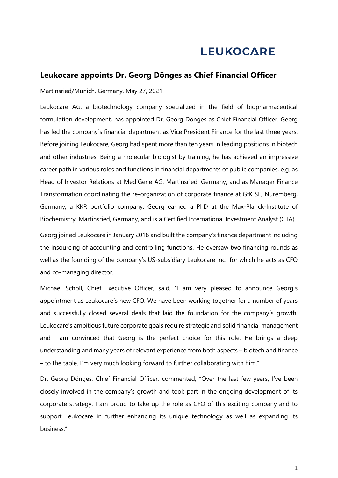## **LEUKOCARE**

## **Leukocare appoints Dr. Georg Dönges as Chief Financial Officer**

Martinsried/Munich, Germany, May 27, 2021

Leukocare AG, a biotechnology company specialized in the field of biopharmaceutical formulation development, has appointed Dr. Georg Dönges as Chief Financial Officer. Georg has led the company´s financial department as Vice President Finance for the last three years. Before joining Leukocare, Georg had spent more than ten years in leading positions in biotech and other industries. Being a molecular biologist by training, he has achieved an impressive career path in various roles and functions in financial departments of public companies, e.g. as Head of Investor Relations at MediGene AG, Martinsried, Germany, and as Manager Finance Transformation coordinating the re-organization of corporate finance at GfK SE, Nuremberg, Germany, a KKR portfolio company. Georg earned a PhD at the Max-Planck-Institute of Biochemistry, Martinsried, Germany, and is a Certified International Investment Analyst (CIIA).

Georg joined Leukocare in January 2018 and built the company's finance department including the insourcing of accounting and controlling functions. He oversaw two financing rounds as well as the founding of the company's US-subsidiary Leukocare Inc., for which he acts as CFO and co-managing director.

Michael Scholl, Chief Executive Officer, said, "I am very pleased to announce Georg´s appointment as Leukocare´s new CFO. We have been working together for a number of years and successfully closed several deals that laid the foundation for the company´s growth. Leukocare's ambitious future corporate goals require strategic and solid financial management and I am convinced that Georg is the perfect choice for this role. He brings a deep understanding and many years of relevant experience from both aspects – biotech and finance – to the table. I´m very much looking forward to further collaborating with him."

Dr. Georg Dönges, Chief Financial Officer, commented, "Over the last few years, I've been closely involved in the company's growth and took part in the ongoing development of its corporate strategy. I am proud to take up the role as CFO of this exciting company and to support Leukocare in further enhancing its unique technology as well as expanding its business."